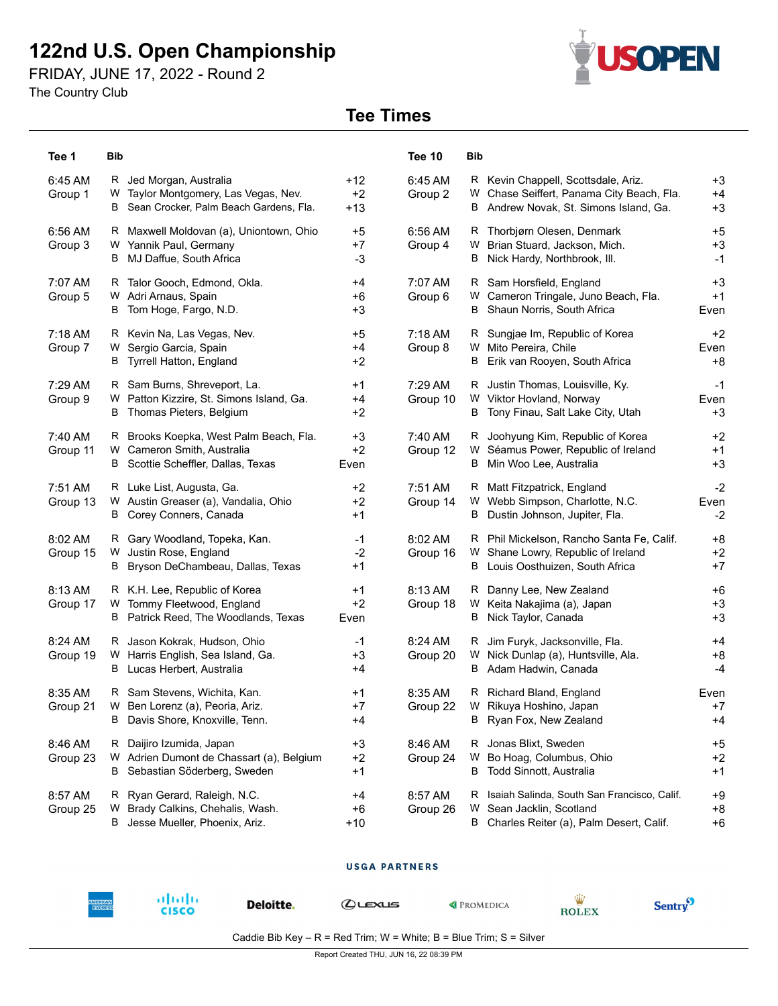# **122nd U.S. Open Championship**

FRIDAY, JUNE 17, 2022 - Round 2

The Country Club

# **SOPEN**

## **Tee Times**

| Tee 1                 | <b>Bib</b>                                                                                                     |                        | Tee 10                | Bib                                                                                                                                                     |
|-----------------------|----------------------------------------------------------------------------------------------------------------|------------------------|-----------------------|---------------------------------------------------------------------------------------------------------------------------------------------------------|
| 6:45 AM<br>Group 1    | R Jed Morgan, Australia<br>Taylor Montgomery, Las Vegas, Nev.<br>W<br>B Sean Crocker, Palm Beach Gardens, Fla. | $+12$<br>$+2$<br>$+13$ | 6:45 AM<br>Group 2    | R Kevin Chappell, Scottsdale, Ariz.<br>$+3$<br>Chase Seiffert, Panama City Beach, Fla.<br>$+4$<br>W<br>$+3$<br>B Andrew Novak, St. Simons Island, Ga.   |
| 6:56 AM<br>Group 3    | R Maxwell Moldovan (a), Uniontown, Ohio<br>W Yannik Paul, Germany<br>B MJ Daffue, South Africa                 | $+5$<br>$+7$<br>-3     | 6:56 AM<br>Group 4    | $+5$<br>R Thorbjørn Olesen, Denmark<br>$+3$<br>Brian Stuard, Jackson, Mich.<br>w<br>$-1$<br>Nick Hardy, Northbrook, III.<br>B                           |
| 7:07 AM<br>Group 5    | R Talor Gooch, Edmond, Okla.<br>Adri Arnaus, Spain<br>W<br>B Tom Hoge, Fargo, N.D.                             | $+4$<br>$+6$<br>$+3$   | 7:07 AM<br>Group 6    | Sam Horsfield, England<br>$+3$<br>R.<br>Cameron Tringale, Juno Beach, Fla.<br>$+1$<br>W<br>Shaun Norris, South Africa<br>В<br>Even                      |
| $7:18$ AM<br>Group 7  | R Kevin Na, Las Vegas, Nev.<br>Sergio Garcia, Spain<br>W<br><b>B</b> Tyrrell Hatton, England                   | +5<br>$+4$<br>$+2$     | $7:18$ AM<br>Group 8  | Sungjae Im, Republic of Korea<br>$+2$<br>Mito Pereira, Chile<br>Even<br>W<br>Erik van Rooyen, South Africa<br>$+8$<br>В                                 |
| 7:29 AM<br>Group 9    | R Sam Burns, Shreveport, La.<br>W Patton Kizzire, St. Simons Island, Ga.<br>B Thomas Pieters, Belgium          | $+1$<br>$+4$<br>$+2$   | 7:29 AM<br>Group 10   | R Justin Thomas, Louisville, Ky.<br>$-1$<br>W Viktor Hovland, Norway<br>Even<br>B Tony Finau, Salt Lake City, Utah<br>$+3$                              |
| 7:40 AM<br>Group 11   | R Brooks Koepka, West Palm Beach, Fla.<br>W Cameron Smith, Australia<br>B Scottie Scheffler, Dallas, Texas     | $+3$<br>$+2$<br>Even   | 7:40 AM<br>Group 12   | R Joohyung Kim, Republic of Korea<br>$+2$<br>Séamus Power, Republic of Ireland<br>$+1$<br>W<br>Min Woo Lee, Australia<br>$+3$<br>В                      |
| 7:51 AM<br>Group 13   | R Luke List, Augusta, Ga.<br>W Austin Greaser (a), Vandalia, Ohio<br>B Corey Conners, Canada                   | $+2$<br>$+2$<br>$+1$   | $7:51$ AM<br>Group 14 | $-2$<br>Matt Fitzpatrick, England<br>R.<br>W Webb Simpson, Charlotte, N.C.<br>Even<br>Dustin Johnson, Jupiter, Fla.<br>$-2$<br>В                        |
| $8:02$ AM<br>Group 15 | R Gary Woodland, Topeka, Kan.<br>W Justin Rose, England<br>B Bryson DeChambeau, Dallas, Texas                  | $-1$<br>$-2$<br>$+1$   | 8:02 AM<br>Group 16   | R Phil Mickelson, Rancho Santa Fe, Calif.<br>$+8$<br>W Shane Lowry, Republic of Ireland<br>$+2$<br>B Louis Oosthuizen, South Africa<br>$+7$             |
| 8:13 AM<br>Group 17   | R K.H. Lee, Republic of Korea<br>W Tommy Fleetwood, England<br>B Patrick Reed, The Woodlands, Texas            | $+1$<br>$+2$<br>Even   | 8:13 AM<br>Group 18   | Danny Lee, New Zealand<br>$+6$<br>R.<br>$+3$<br>W Keita Nakajima (a), Japan<br>Nick Taylor, Canada<br>$+3$<br>В                                         |
| 8:24 AM<br>Group 19   | R Jason Kokrak, Hudson, Ohio<br>W Harris English, Sea Island, Ga.<br>B Lucas Herbert, Australia                | $-1$<br>$+3$<br>+4     | 8:24 AM<br>Group 20   | R Jim Furyk, Jacksonville, Fla.<br>$+4$<br>Nick Dunlap (a), Huntsville, Ala.<br>W<br>$+8$<br>$-4$<br>B Adam Hadwin, Canada                              |
| 8:35 AM<br>Group 21   | R Sam Stevens, Wichita, Kan.<br>W Ben Lorenz (a), Peoria, Ariz.<br>В<br>Davis Shore, Knoxville, Tenn.          | +1<br>$+7$<br>+4       | 8:35 AM<br>Group 22   | Richard Bland, England<br>Even<br>R.<br>W Rikuya Hoshino, Japan<br>$+7$<br>В<br>Ryan Fox, New Zealand<br>+4                                             |
| 8:46 AM<br>Group 23   | R Daijiro Izumida, Japan<br>W Adrien Dumont de Chassart (a), Belgium<br>B Sebastian Söderberg, Sweden          | $+3$<br>$+2$<br>$+1$   | 8:46 AM<br>Group 24   | Jonas Blixt, Sweden<br>$+5$<br>R<br>Bo Hoag, Columbus, Ohio<br>$+2$<br>W<br>Todd Sinnott, Australia<br>В<br>$+1$                                        |
| 8:57 AM<br>Group 25   | R Ryan Gerard, Raleigh, N.C.<br>Brady Calkins, Chehalis, Wash.<br>W<br>B Jesse Mueller, Phoenix, Ariz.         | +4<br>$+6$<br>$+10$    | 8:57 AM<br>Group 26   | Isaiah Salinda, South San Francisco, Calif.<br>$+9$<br>R<br>$+8$<br>W<br>Sean Jacklin, Scotland<br>Charles Reiter (a), Palm Desert, Calif.<br>B<br>$+6$ |

#### **USGA PARTNERS**



Deloitte.

abah.<br>Cisco

 $Q$ 

PROMEDICA



Caddie Bib Key -  $R$  = Red Trim; W = White; B = Blue Trim; S = Silver